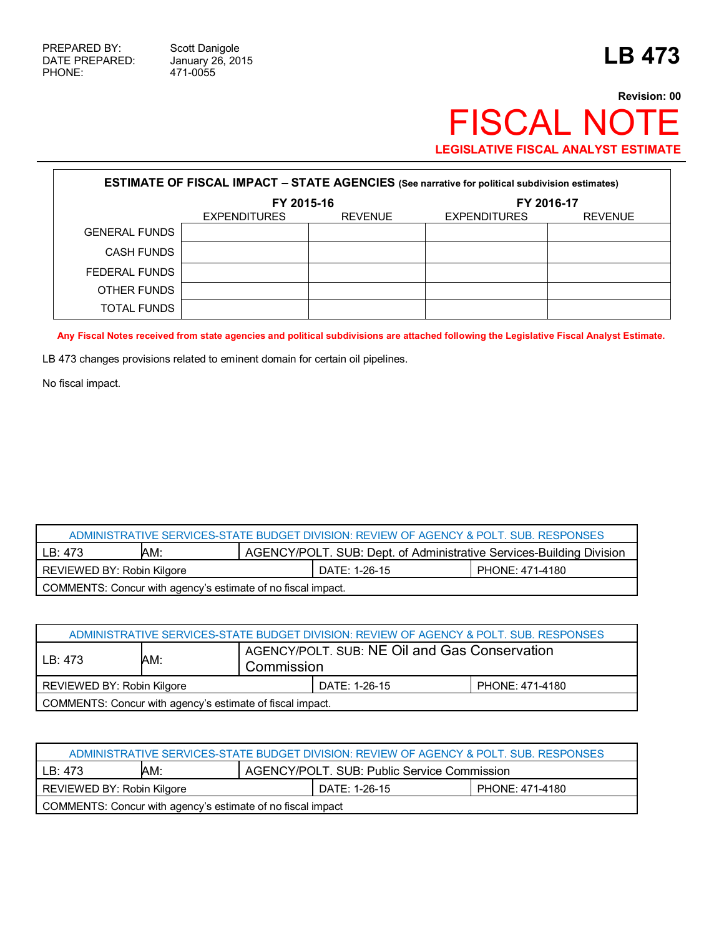471-0055

## **Revision: 00** FISCAL NOTE **LEGISLATIVE FISCAL ANALYST ESTIMATE**

| <b>ESTIMATE OF FISCAL IMPACT - STATE AGENCIES</b> (See narrative for political subdivision estimates) |                          |                |                                       |  |  |  |
|-------------------------------------------------------------------------------------------------------|--------------------------|----------------|---------------------------------------|--|--|--|
|                                                                                                       | FY 2015-16<br>FY 2016-17 |                |                                       |  |  |  |
|                                                                                                       | <b>EXPENDITURES</b>      | <b>REVENUE</b> | <b>EXPENDITURES</b><br><b>REVENUE</b> |  |  |  |
| <b>GENERAL FUNDS</b>                                                                                  |                          |                |                                       |  |  |  |
| <b>CASH FUNDS</b>                                                                                     |                          |                |                                       |  |  |  |
| FEDERAL FUNDS                                                                                         |                          |                |                                       |  |  |  |
| OTHER FUNDS                                                                                           |                          |                |                                       |  |  |  |
| TOTAL FUNDS                                                                                           |                          |                |                                       |  |  |  |

**Any Fiscal Notes received from state agencies and political subdivisions are attached following the Legislative Fiscal Analyst Estimate.**

LB 473 changes provisions related to eminent domain for certain oil pipelines.

No fiscal impact.

| ADMINISTRATIVE SERVICES-STATE BUDGET DIVISION: REVIEW OF AGENCY & POLT. SUB. RESPONSES       |  |  |  |  |  |
|----------------------------------------------------------------------------------------------|--|--|--|--|--|
| <b>AGENCY/POLT. SUB: Dept. of Administrative Services-Building Division</b><br>AM:<br>LB:473 |  |  |  |  |  |
| DATE: 1-26-15<br>REVIEWED BY: Robin Kilgore<br>PHONE: 471-4180                               |  |  |  |  |  |
| COMMENTS: Concur with agency's estimate of no fiscal impact.                                 |  |  |  |  |  |

| ADMINISTRATIVE SERVICES-STATE BUDGET DIVISION: REVIEW OF AGENCY & POLT. SUB. RESPONSES |     |                                                             |  |                 |  |  |
|----------------------------------------------------------------------------------------|-----|-------------------------------------------------------------|--|-----------------|--|--|
| LB: 473                                                                                | AM: | AGENCY/POLT, SUB: NE Oil and Gas Conservation<br>Commission |  |                 |  |  |
| REVIEWED BY: Robin Kilgore<br>DATE: 1-26-15                                            |     |                                                             |  | PHONE: 471-4180 |  |  |
| COMMENTS: Concur with agency's estimate of fiscal impact.                              |     |                                                             |  |                 |  |  |

| ADMINISTRATIVE SERVICES-STATE BUDGET DIVISION: REVIEW OF AGENCY & POLT. SUB. RESPONSES |  |  |  |  |  |
|----------------------------------------------------------------------------------------|--|--|--|--|--|
| AGENCY/POLT. SUB: Public Service Commission<br>AM:<br>LB: 473                          |  |  |  |  |  |
| REVIEWED BY: Robin Kilgore<br>DATE: 1-26-15<br>PHONE: 471-4180                         |  |  |  |  |  |
| COMMENTS: Concur with agency's estimate of no fiscal impact                            |  |  |  |  |  |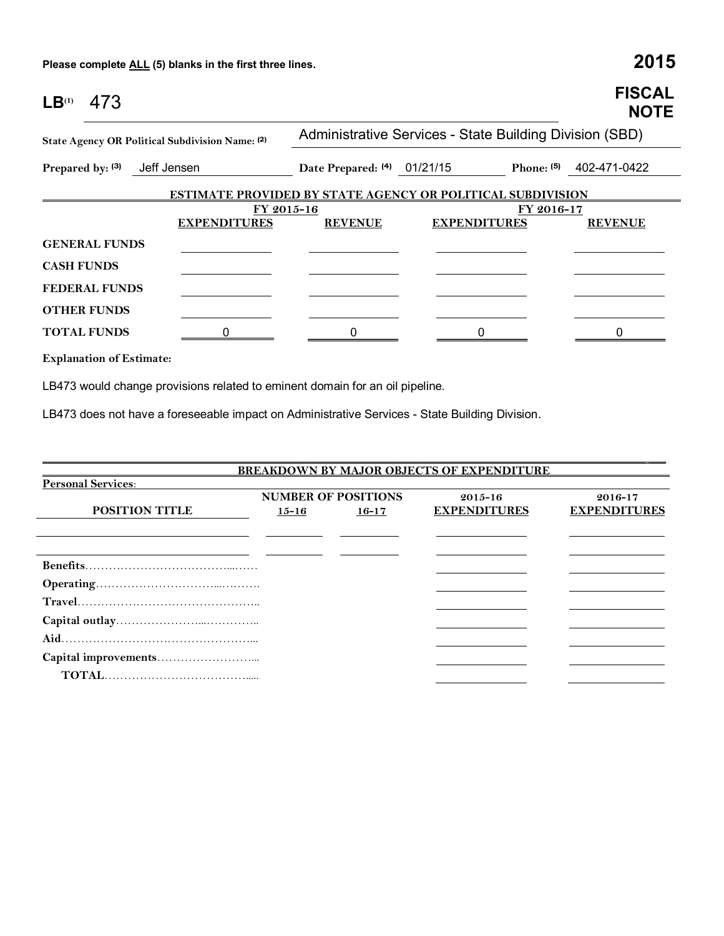**Please complete ALL (5) blanks in the first three lines. 2015**

| LB <sup>(1)</sup><br>473                        |             |                     |                                                                   |                                                         |            | <b>FISCAL</b><br><b>NOTE</b> |
|-------------------------------------------------|-------------|---------------------|-------------------------------------------------------------------|---------------------------------------------------------|------------|------------------------------|
| State Agency OR Political Subdivision Name: (2) |             |                     |                                                                   | Administrative Services - State Building Division (SBD) |            |                              |
| Prepared by: (3)                                | Jeff Jensen |                     | Date Prepared: (4) 01/21/15                                       |                                                         | Phone: (5) | 402-471-0422                 |
|                                                 |             |                     | <b>ESTIMATE PROVIDED BY STATE AGENCY OR POLITICAL SUBDIVISION</b> |                                                         |            |                              |
|                                                 |             | FY 2015-16          |                                                                   |                                                         | FY 2016-17 |                              |
|                                                 |             | <b>EXPENDITURES</b> | <b>REVENUE</b>                                                    | <b>EXPENDITURES</b>                                     |            | <b>REVENUE</b>               |
| <b>GENERAL FUNDS</b>                            |             |                     |                                                                   |                                                         |            |                              |
| <b>CASH FUNDS</b>                               |             |                     |                                                                   |                                                         |            |                              |
| <b>FEDERAL FUNDS</b>                            |             |                     |                                                                   |                                                         |            |                              |
| <b>OTHER FUNDS</b>                              |             |                     |                                                                   |                                                         |            |                              |
| <b>TOTAL FUNDS</b>                              |             |                     |                                                                   |                                                         |            |                              |
|                                                 |             |                     |                                                                   |                                                         |            |                              |

**Explanation of Estimate:**

LB473 would change provisions related to eminent domain for an oil pipeline.

LB473 does not have a foreseeable impact on Administrative Services - State Building Division.

|                           |           |                                         | <b>BREAKDOWN BY MAJOR OBJECTS OF EXPENDITURE</b> |                                |
|---------------------------|-----------|-----------------------------------------|--------------------------------------------------|--------------------------------|
| <b>Personal Services:</b> |           |                                         |                                                  |                                |
| <b>POSITION TITLE</b>     | $15 - 16$ | <b>NUMBER OF POSITIONS</b><br>$16 - 17$ | $2015 - 16$<br><b>EXPENDITURES</b>               | 2016-17<br><b>EXPENDITURES</b> |
|                           |           |                                         |                                                  |                                |
|                           |           |                                         |                                                  |                                |
|                           |           |                                         |                                                  |                                |
|                           |           |                                         |                                                  |                                |
|                           |           |                                         |                                                  |                                |
|                           |           |                                         |                                                  |                                |
|                           |           |                                         |                                                  |                                |
|                           |           |                                         |                                                  |                                |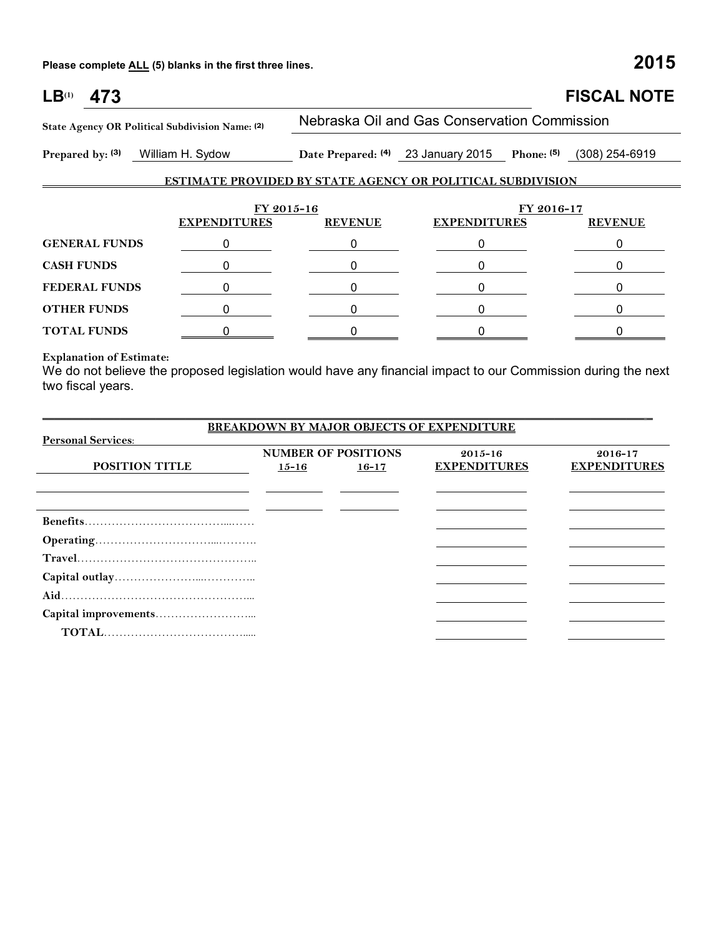**Please complete ALL (5) blanks in the first three lines. 2015**

| $LB^{(1)}$<br>473                                                 |                     |                |                                              | <b>FISCAL NOTE</b>            |  |  |  |
|-------------------------------------------------------------------|---------------------|----------------|----------------------------------------------|-------------------------------|--|--|--|
| State Agency OR Political Subdivision Name: (2)                   |                     |                | Nebraska Oil and Gas Conservation Commission |                               |  |  |  |
| Prepared by: (3)                                                  | William H. Sydow    |                | Date Prepared: (4) 23 January 2015           | Phone: $(5)$ $(308)$ 254-6919 |  |  |  |
| <b>ESTIMATE PROVIDED BY STATE AGENCY OR POLITICAL SUBDIVISION</b> |                     |                |                                              |                               |  |  |  |
|                                                                   | FY 2015-16          |                | FY 2016-17                                   |                               |  |  |  |
|                                                                   | <b>EXPENDITURES</b> | <b>REVENUE</b> | <b>EXPENDITURES</b>                          | <b>REVENUE</b>                |  |  |  |
| <b>GENERAL FUNDS</b>                                              | 0                   |                | 0                                            |                               |  |  |  |
| <b>CASH FUNDS</b>                                                 |                     |                |                                              |                               |  |  |  |
| <b>FEDERAL FUNDS</b>                                              |                     | 0              |                                              | 0                             |  |  |  |
| <b>OTHER FUNDS</b>                                                | 0                   | 0              | 0                                            | 0                             |  |  |  |
| <b>TOTAL FUNDS</b>                                                |                     |                |                                              |                               |  |  |  |

## **Explanation of Estimate:**

We do not believe the proposed legislation would have any financial impact to our Commission during the next two fiscal years.

|                           |           |                            | <b>BREAKDOWN BY MAJOR OBJECTS OF EXPENDITURE</b> |                     |
|---------------------------|-----------|----------------------------|--------------------------------------------------|---------------------|
| <b>Personal Services:</b> |           |                            |                                                  |                     |
|                           |           | <b>NUMBER OF POSITIONS</b> | $2015 - 16$                                      | 2016-17             |
| <b>POSITION TITLE</b>     | $15 - 16$ | $16 - 17$                  | <b>EXPENDITURES</b>                              | <b>EXPENDITURES</b> |
|                           |           |                            |                                                  |                     |
|                           |           |                            |                                                  |                     |
|                           |           |                            |                                                  |                     |
|                           |           |                            |                                                  |                     |
|                           |           |                            |                                                  |                     |
|                           |           |                            |                                                  |                     |
|                           |           |                            |                                                  |                     |
|                           |           |                            |                                                  |                     |
|                           |           |                            |                                                  |                     |
|                           |           |                            |                                                  |                     |
|                           |           |                            |                                                  |                     |